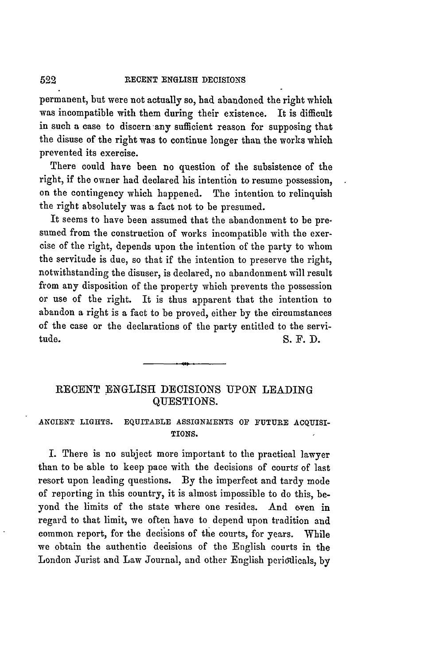#### RECENT **ENGLISH DECISIONS**

permanent, but were not actually so, had abandoned the right which was incompatible with them during their existence. It is difficult in such a case to discern any sufficient reason for supposing that the disuse of the right was to continue longer than the works which prevented its exercise.

There could have been no question of the subsistence of the right, if the owner had declared his intention to resume possession, on the contingency which happened. The intention to relinquish the right absolutely was a fact not to be presumed.

It seems to have been assumed that the abandonment to be presumed from the construction of works incompatible with the exercise of the right, depends upon the intention of the party to whom the servitude is due, so that if the intention to preserve the right, notwithstanding the disuser, is declared, no abandonment will result from any disposition of the property which prevents the possession or use of the right. It is thus apparent that the intention to abandon a right is a fact to be proved, either **by** the circumstances of the case or the declarations of the party entitled to the servitude. S.F.D.

# **RECENT** ENGLISH DECISIONS **UPON** LEADING QUESTIONS.

## **ANCIENT LIGHTS.** EQUITABLE **ASSIGNMENTS OF FUTURE ACQUISI-TIONS.**

I. There is no subject more important to the practical lawyer than to be able to keep pace with the decisions of courts of last **resort upon leading questions. By** the imperfect and tardy mode of reporting in this country, it is almost impossible to do this, beyond the limits of the state where one resides. And even in regard to that limit, we often have to depend upon tradition and common report, for the decisions of the courts, for years. While we obtain the authentic decisions of the English courts in the London Jurist and Law Journal, and other English periodicals, **by**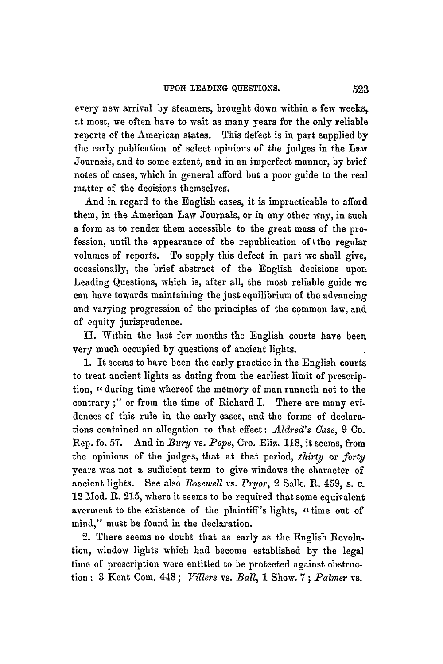every new arrival by steamers, brought down within a few weeks, at most, we often have to wait as many years for the only reliable reports of the American states. This defect is in part suppliedby the early publication of select opinions of the judges in the Law Journals, and to some extent, and in an imperfect manner, **by** brief notes of cases, which in general afford but a poor guide to the real matter of the decisions themselves.

And in regard to the English cases, it is impracticable to afford them, in the American Law Journals, or in any other way, in such a form as to render them accessible to the great mass of the profession, until the appearance of the republication of tthe regular volumes of reports. To supply this defect in part we shall give, occasionally, the brief abstract of the English decisions upon Leading Questions, which is, after all, the most reliable guide we can have towards maintaining the just equilibrium of the advancing and varying progression of the principles of the common law, and of equity jurisprudence.

IL Within the last few months the English courts have been very much occupied by questions of ancient lights.

1. It seems to have been the early practice in the English courts to treat ancient lights as dating from the earliest limit of prescription, *-* during time whereof the memory of man runneth not to the contrary **;"** or from the time of Richard I. There are many evidences of this rule in the early cases, and the forms of declarations contained an allegation to that effect: *Aldred's Case,* 9 Co. Rep. fo. 57. And in *Bury* vs. *Pope*, Cro. Eliz. 118, it seems, from the opinions of the judges, that at that period, *thirty* or *forty* years was not a sufficient term to give windows the character of ancient lights. See also *1osewell vs.* **Pryor,** 2 Salk. R. 459, s. **c.** 12 Mod. R. 215, where it seems to be required that some equivalent averment to the existence of the plaintiff's lights,  $\cdot$  time out of mind," must be found in the declaration.

2. There seems no doubt that as early as the English Revolution, window lights which had become established by the legal time of prescription were entitled to be protected against obstruction: **3** Kent Com. 448; *J <sup>T</sup> illers* vs. *Ball,* 1 Show. **7;** *Palmer* vs.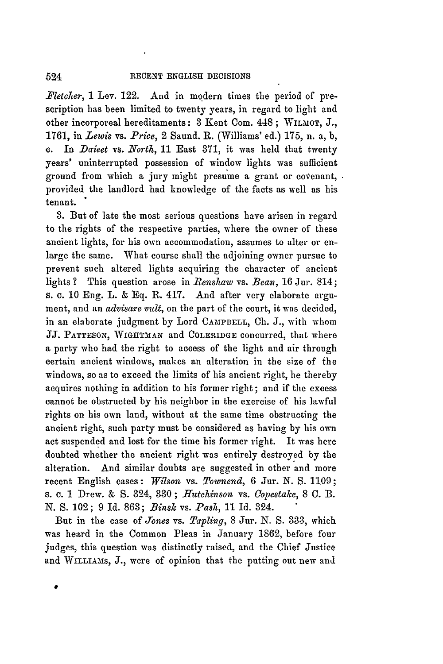*Fletcher,* 1 Lev. 122. And in modern times the period of prescription has been limited to twenty years, in regard to light and other incorporeal hereditaments: 3 Kent Com. 448 ; WILMOT, J., 1761, in *Lewis* vs. *Price,* 2 Saund. R. (Williams' ed.) 175, n. a, b, c. In *Daieet* vs. *North*, 11 East 371, it was held that twenty years' uninterrupted possession of window lights was sufficient ground from which a jury might presume a grant or covenant, provided the landlord had knowledge of the facts as well as his tenant.

**3.** But of late the most serious questions have arisen in regard to the rights of the respective parties, where the owner of these ancient lights, for his own accommodation, assumes to alter or enlarge the same. What course shall the adjoining owner pursue to prevent such altered lights acquiring the character of ancient lights? This question arose in *Renshaw* vs. *Bean*, 16 Jur. 814; s. c. 10 Eng. L. & **Eq. R.** 417. And after very elaborate argument, and an *advisare vult,* on the part of the court, it was decided, in an elaborate judgment by Lord CAMPBELL, **Ch. J.,** with whom JJ. **PATTESON, WIGIITMAN** and COLERIDGE concurred, that where a party who had the right to access of the light and air through certain ancient windows, makes an alteration in the size of ihe windows, so as to exceed the limits of his ancient right, he thereby acquires nothing in addition to his former right; and if the excess cannot be obstructed by his neighbor in the exercise of his lawful rights on his own land, without at the same time obstructing the ancient right, such party must be considered as having by his own act suspended and lost for the time his former right. It was here doubted whether the ancient right was entirely destroyed by the alteration. And similar doubts are suggested in other and more recent English cases: *Wilson* vs. *Townend,* 6 Jur. *N.* **S.** 1109; s. *c.* 1 Drew. & **S.** 324, **380;** *Hutelinson* vs. *Copestake,* 8 **C.** B. **N.** S. 102; 9 Id. 863; *Binsk* vs. *Pash,* 11 Id. 824.

But in the case of *Jones* vs. *Taplivg,* 8 Jur. *N.* S. **333,** which was heard in the Common Pleas in January 1862, before four Judges, this question was distinctly raised, and the Chief Justice and WILLIAMS, J., were of opinion that the putting out new and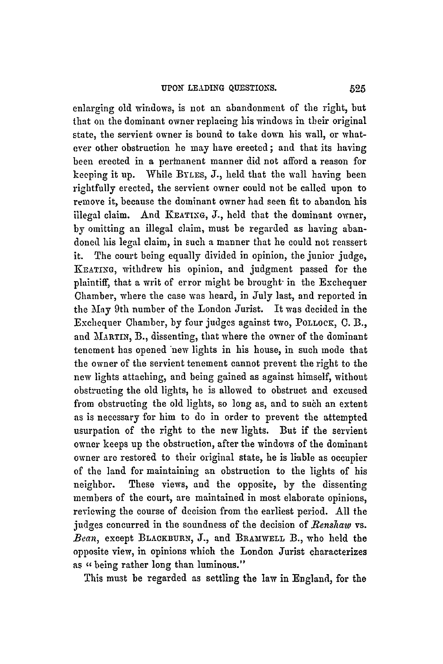enlarging old windows, is not an abandonment of the right, but that on the dominant owner replacing his windows in their original state, the servient owner is bound to take down his wall, or whatever other obstruction he may have erected ; and that its having been erected in a perinanent manner did not afford a reason for keeping it up. While BYLES, J., held that the wall having been rightfully erected, the servient owner could not be called upon to remove it, because the dominant owner had seen fit to abandon his illegal claim. And **KEATING,** J., held that the dominant owner, by omitting an illegal claim, must be regarded as having abandoned his legal claim, in such a manner that he could not reassert it. The court being equally divided in opinion, the junior judge, KEATING, withdrew his opinion, and judgment passed for the plaintiff, that a writ of error might be brought- in the Exchequer Chamber, where the case was heard, in July last, and reported in the May 9th number of the London Jurist. It was decided in the Exchequer Chamber, **by** four judges against two, POLLOCK, **C.** B., and MARTIN, B., dissenting, that where the owner of the dominant tenement has opened 'new lights in his house, in such mode that the owner of the servient tenement cannot prevent the right to the **new** lights attaching, and being gained as against himself, without obstructing the old lights, he is allowed to obstruct and excused from obstructing the old lights, so long as, and to such an extent as is necessary for him to do in order to prevent the attempted usurpation of the right to the new lights. But if the servient owner keeps up the obstruction, after the windows of the dominant owner are restored to their original state, he is liable as occupier of the land for maintaining an obstruction to the lights of his neighbor. These views, and the opposite, by the dissenting members of the court, are maintained in most elaborate opinions, reviewing the course of decision from the earliest period. All the judges concurred in the soundness of the decision of *Benslaw* vs. *Bean,* except **BLACKBURN,** J., and BRAMWELL B., who held the opposite view, in opinions which the London Jurist characterizes as "being rather long than luminous."

This must be regarded as settling the law in England, for the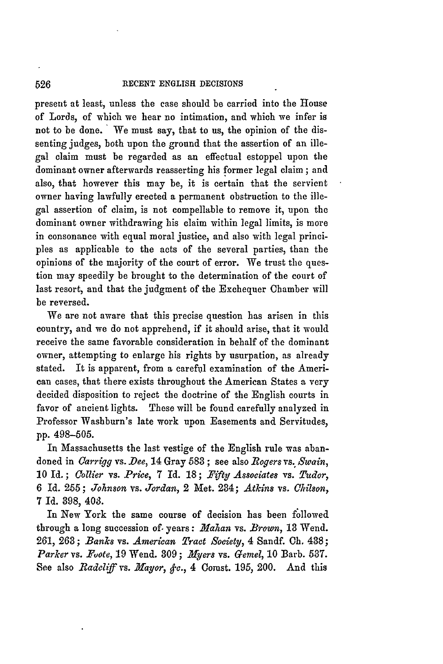**RECENT ENGLISH DECISIONS**

present at least, unless the case should be carried into the House of Lords, of which we hear no intimation, and which we infer is not to be done. We must say, that to us, the opinion of the dissenting judges, both upon the ground that the assertion of an illegal claim must be regarded as an effectual estoppel upon the dominant owner afterwards reasserting his former legal claim ; and also, that however this may be, it is certain that the servient owner having lawfully erected a permanent obstruction to the illegal assertion of claim, is not compellable to remove it, upon the dominant owner withdrawing his claim within legal limits, is more in consonance with equal moral justice, and also with legal principles as applicable to the acts of the several parties, than the opinions of the majority of the court of error. We trust the question may speedily be brought to the determination of the court of last resort, and that the judgment of the Exchequer Chamber will be reversed.

We are not aware that this precise question has arisen in this country, and we do not apprehend, if it should arise, that it would receive the same favorable consideration in behalf of the dominant owner, attempting to enlarge his rights by usurpation, as already stated. It is apparent, from a careful examination of the American cases, that there exists throughout the American States a very decided disposition to reject the doctrine of the English courts in favor of ancient lights. These will be found carefully analyzed in Professor Washburn's late work upon Easements and Servitudes, pp. 498-505.

In Massachusetts the last vestige of the English rule was abandoned in *Carrigg* vs. *Dee,* 14 Gray **583** ; see also *Rogers* vs. *Swain,* 10 Id. ; *Collier* vs. *Price,* **7 Id.** 18 *; Fifty] Associates* vs. *Tudor,* 6 Id. **255** ; *Johnson vs. Jordan,* 2 Met. 284; *Atkins* vs. *Chilson,* 7 Id. 898, 403.

In New York the same course of decision has been followed through a long succession of. years: *.Mahan* vs. *Brown,* **13** Wend. 261, **263;** *Banks* vs. *American Tract Society,* 4 Sandf. **Ch.** 488; *Parker* vs. *PLote,* 19 Wend. **309** ; *Nyers* vs. *Gemel,* **10** Barb. **537.** See also *Radcliff* vs. *Mayor, &c.,* 4 Comst. 195, 200. And this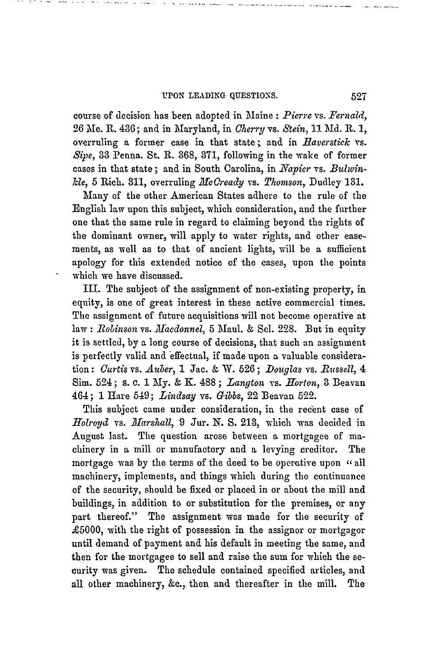### **UPON LEADING QUESTIONS.**

course of decision has been adopted in Maine : *Pierre* vs. *Fernald,* 26 Me. R. 436; and in Maryland, in *Cherry* vs. *Stein,* **11** Md. **R. 1,** overruling a former case in that state ; and in *Raverstick* vs. *Sipe,* **33** Penna. St. **R.** 868, 371, following in the wake of former cases in that state; and in South Carolina, in *Napier* vs. *Bulwin*-*Ide,* **5** Rich. **311,** overruling *Mcready* vs. *Thomson,* Dudley **131.**

Many of the other American States adhere to the rule of the English law upon this subject, which consideration, and the further one that the same rule in regard to claiming beyond the rights of the dominant owner, will apply to water rights, and other easements, as well as to that of ancient lights, will be a sufficient apology for this extended notice of the cases, upon the points which we have discussed.

III. The subject of the assignment of non-existing property, in equity, is one of great interest in these active commercial times. The assignment of future acquisitions will not become operative at law: *Robinson* vs. *JTacdonnel,* 5 Maul. **&** Sel. **228.** But in equity it is settled, by a long course of decisions, that such an assignment is perfectly valid and 'effectual, if made upon a valuable consideration : *Curtis* vs. *Auber,* 1 Jac. & W. **526** ; *Douglas* vs. *Russell, 4* Sim. 524; s. c. 1 My. & K. 488; *Langton vs. Horton*, 3 Beavan 464; **1** Hare 549; *Lindsay* vs. *Gibbs,* 22 Beavan 522.

This subject came under consideration, in the recent case of *Hoiroyd* vs. *JIarshall,* 9 Jur. N. S. 213, which was decided in August last. The question arose between a mortgagee of machinery in a mill or manufactory and a levying creditor. The mortgage was by the terms of the deed to be operative upon "all machinery, implements, and things which during the continuance of the security, should be fixed or placed in or about the mill and buildings, in addition to or substitution for the premises, or any part thereof." The assignment was made for the security of  $£5000$ , with the right of possession in the assignor or mortgagor until demand of payment and his default in meeting the same, and then for the mortgagee to sell and raise the sum for which the security was given. The schedule contained specified articles, and all other machinery, &c., then and thereafter in the mill. The